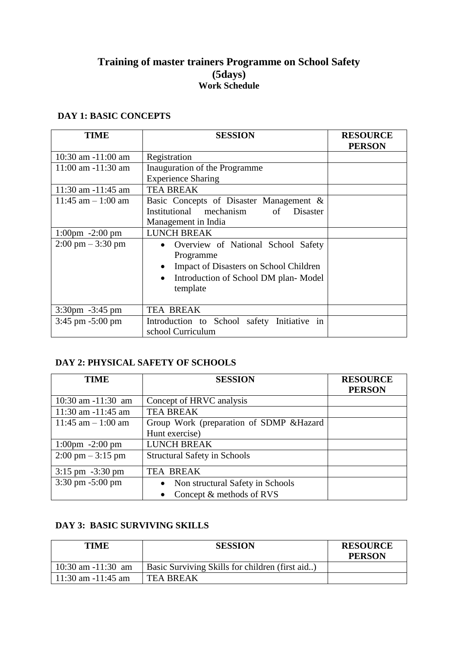# **Training of master trainers Programme on School Safety (5days) Work Schedule**

## **DAY 1: BASIC CONCEPTS**

| <b>TIME</b>                         | <b>SESSION</b>                                                                                                                                                                       | <b>RESOURCE</b><br><b>PERSON</b> |
|-------------------------------------|--------------------------------------------------------------------------------------------------------------------------------------------------------------------------------------|----------------------------------|
| $10:30$ am $-11:00$ am              | Registration                                                                                                                                                                         |                                  |
| $11:00$ am $-11:30$ am              | Inauguration of the Programme<br><b>Experience Sharing</b>                                                                                                                           |                                  |
| $11:30$ am $-11:45$ am              | <b>TEA BREAK</b>                                                                                                                                                                     |                                  |
| $11:45$ am $-1:00$ am               | Basic Concepts of Disaster Management &<br>Institutional mechanism of<br>Disaster<br>Management in India                                                                             |                                  |
| $1:00 \text{pm} -2:00 \text{pm}$    | <b>LUNCH BREAK</b>                                                                                                                                                                   |                                  |
| $2:00 \text{ pm} - 3:30 \text{ pm}$ | Overview of National School Safety<br>$\bullet$<br>Programme<br>Impact of Disasters on School Children<br>$\bullet$<br>Introduction of School DM plan-Model<br>$\bullet$<br>template |                                  |
| $3:30 \text{pm} -3:45 \text{pm}$    | <b>TEA BREAK</b>                                                                                                                                                                     |                                  |
| 3:45 pm -5:00 pm                    | Introduction to School safety Initiative<br>1n<br>school Curriculum                                                                                                                  |                                  |

# **DAY 2: PHYSICAL SAFETY OF SCHOOLS**

| TIME                                | <b>SESSION</b>                                | <b>RESOURCE</b> |
|-------------------------------------|-----------------------------------------------|-----------------|
|                                     |                                               | <b>PERSON</b>   |
| $10:30$ am $-11:30$ am              | Concept of HRVC analysis                      |                 |
| 11:30 am $-11:45$ am                | <b>TEA BREAK</b>                              |                 |
| $11:45$ am $-1:00$ am               | Group Work (preparation of SDMP & Hazard      |                 |
|                                     | Hunt exercise)                                |                 |
| $1:00 \text{pm} -2:00 \text{pm}$    | <b>LUNCH BREAK</b>                            |                 |
| $2:00 \text{ pm} - 3:15 \text{ pm}$ | <b>Structural Safety in Schools</b>           |                 |
| $3:15 \text{ pm } -3:30 \text{ pm}$ | <b>TEA BREAK</b>                              |                 |
| $3:30$ pm $-5:00$ pm                | Non structural Safety in Schools<br>$\bullet$ |                 |
|                                     | Concept & methods of RVS<br>$\bullet$         |                 |

#### **DAY 3: BASIC SURVIVING SKILLS**

| <b>TIME</b>            | <b>SESSION</b>                                  | <b>RESOURCE</b><br><b>PERSON</b> |
|------------------------|-------------------------------------------------|----------------------------------|
| $10:30$ am $-11:30$ am | Basic Surviving Skills for children (first aid) |                                  |
| $11:30$ am $-11:45$ am | <b>TEA BREAK</b>                                |                                  |